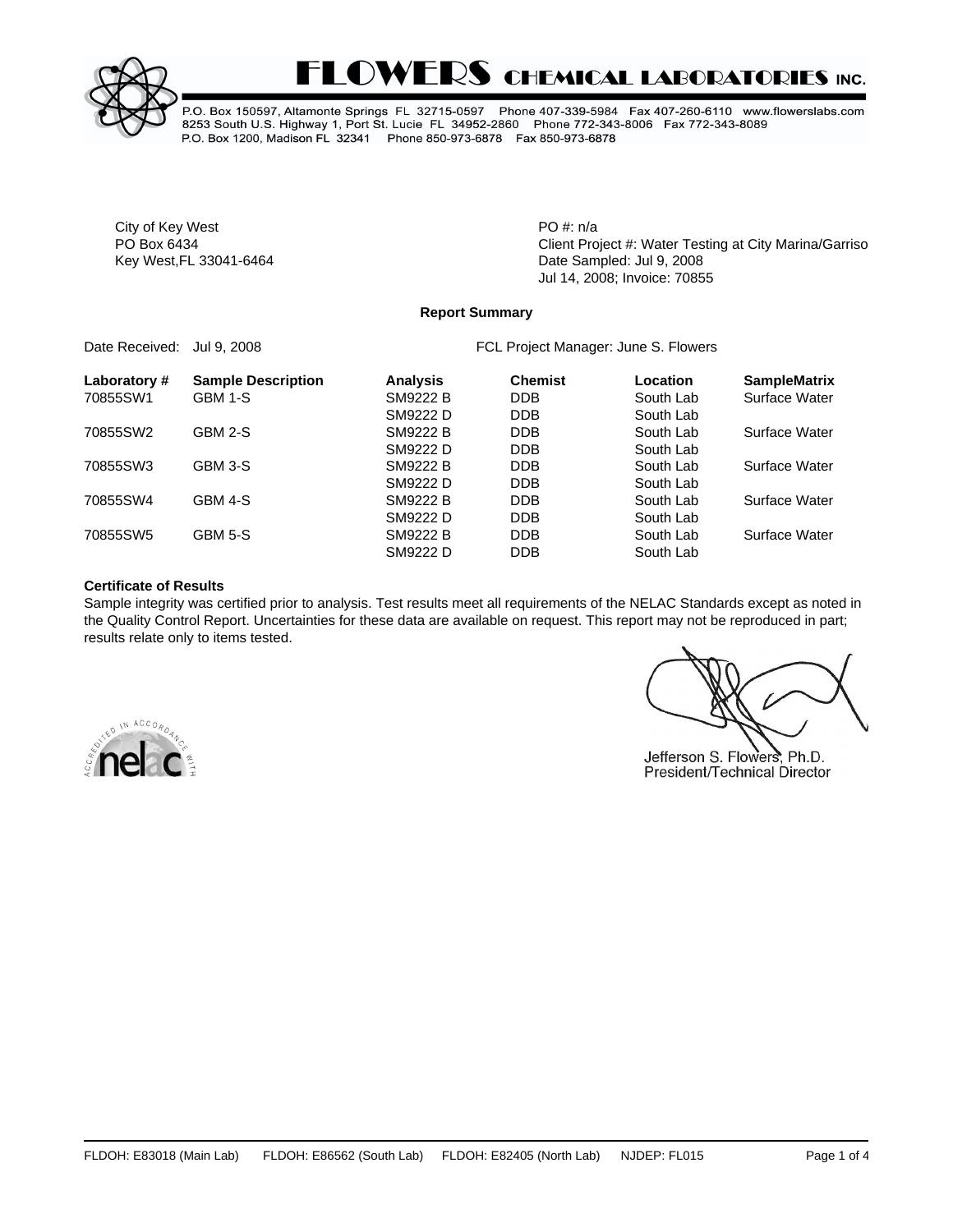

# **FLOWERS CHEMICAL LABORATORIES INC.**

P.O. Box 150597, Altamonte Springs FL 32715-0597 Phone 407-339-5984 Fax 407-260-6110 www.flowerslabs.com 8253 South U.S. Highway 1, Port St. Lucie FL 34952-2860 Phone 772-343-8006 Fax 772-343-8089 P.O. Box 1200, Madison FL 32341 Phone 850-973-6878 Fax 850-973-6878

City of Key West **PO** #: n/a

PO Box 6434 **PO Box 6434** Client Project #: Water Testing at City Marina/Garrison Bighter Bighter Bighter Bighter Bighter Bighter Bighter Bighter Bighter Bighter Bighter Bighter Bighter Bighter Bighter Bighter Bighter Bigh Key West,FL 33041-6464 Date Sampled: Jul 9, 2008 Jul 14, 2008; Invoice: 70855

#### **Report Summary**

Date Received: Jul 9, 2008 **FCL Project Manager: June S. Flowers** 

| Laboratory # | <b>Sample Description</b> | <b>Analysis</b> | <b>Chemist</b> | Location  | <b>SampleMatrix</b> |
|--------------|---------------------------|-----------------|----------------|-----------|---------------------|
| 70855SW1     | GBM 1-S                   | SM9222 B        | <b>DDB</b>     | South Lab | Surface Water       |
|              |                           | SM9222 D        | <b>DDB</b>     | South Lab |                     |
| 70855SW2     | GBM 2-S                   | <b>SM9222 B</b> | <b>DDB</b>     | South Lab | Surface Water       |
|              |                           | SM9222 D        | <b>DDB</b>     | South Lab |                     |
| 70855SW3     | GBM 3-S                   | SM9222 B        | <b>DDB</b>     | South Lab | Surface Water       |
|              |                           | SM9222 D        | <b>DDB</b>     | South Lab |                     |
| 70855SW4     | GBM 4-S                   | SM9222 B        | <b>DDB</b>     | South Lab | Surface Water       |
|              |                           | SM9222 D        | <b>DDB</b>     | South Lab |                     |
| 70855SW5     | GBM 5-S                   | SM9222 B        | <b>DDB</b>     | South Lab | Surface Water       |
|              |                           | SM9222 D        | <b>DDB</b>     | South Lab |                     |
|              |                           |                 |                |           |                     |

#### **Certificate of Results**

Sample integrity was certified prior to analysis. Test results meet all requirements of the NELAC Standards except as noted in the Quality Control Report. Uncertainties for these data are available on request. This report may not be reproduced in part; results relate only to items tested.





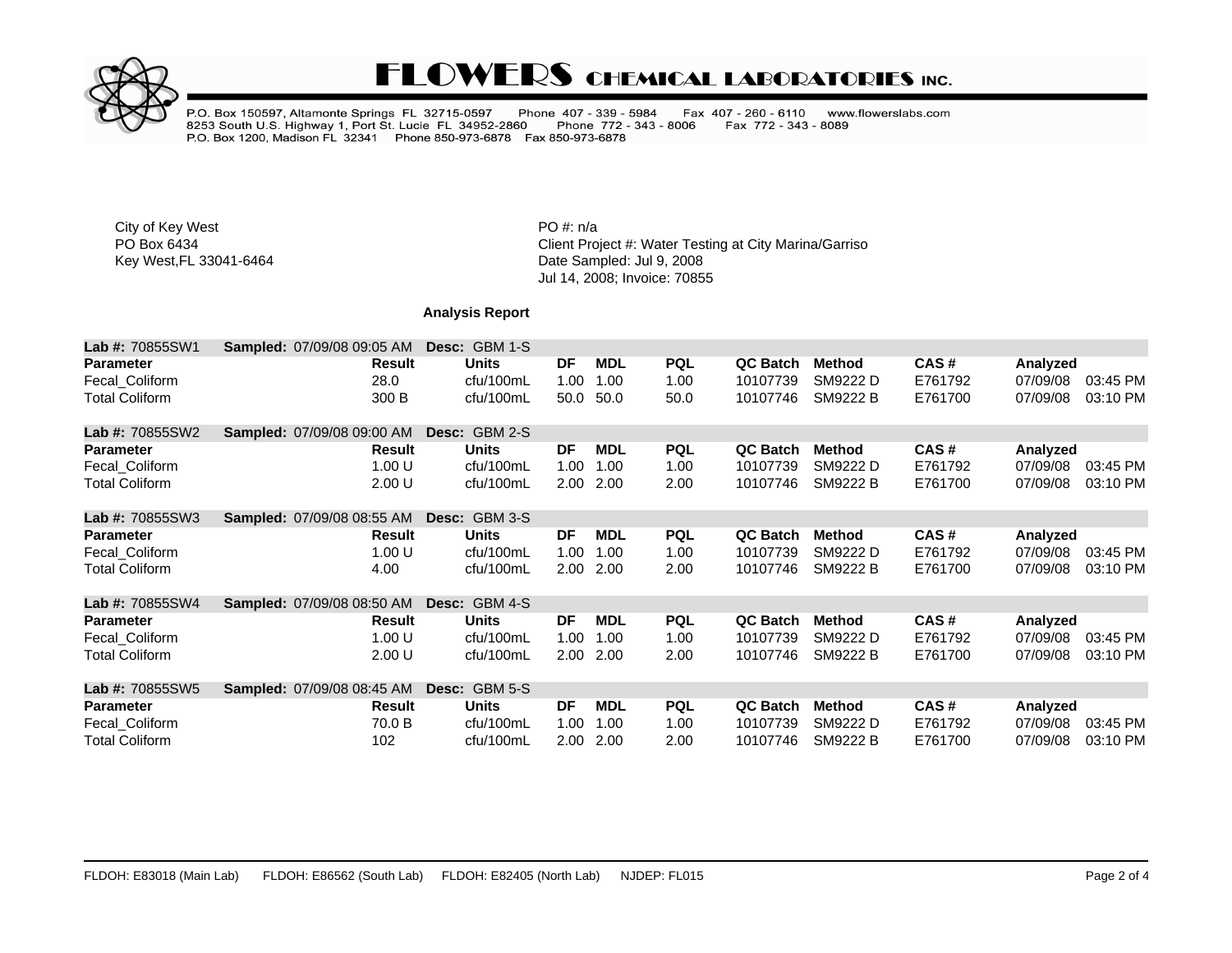

## **FLOWERS CHEMICAL LABORATORIES INC.**

P.O. Box 150597, Altamonte Springs FL 32715-0597 Phone 407 - 339 - 5984<br>8253 South U.S. Highway 1, Port St. Lucie FL 34952-2860 Phone 772 - 343<br>P.O. Box 1200, Madison FL 32341 Phone 850-973-6878 Fax 850-973-6878 Fax 407 - 260 - 6110 www.flowerslabs.com Fax 772 - 343 - 8089 Phone 772 - 343 - 8006

City of Key West **PO** #: n/a

PO Box 6434<br>
Rey West, FL 33041-6464 Client Project #: Water Testing at City Marina/Garrison Bightharmonic Client Project<br>
Date Sampled: Jul 9, 2008 Date Sampled: Jul 9, 2008 Jul 14, 2008; Invoice: 70855

### **Analysis Report**

| <b>Lab #: 70855SW1</b> | <b>Sampled: 07/09/08 09:05 AM</b> | Desc: | GBM 1-S              |                   |            |            |                 |                 |         |          |          |
|------------------------|-----------------------------------|-------|----------------------|-------------------|------------|------------|-----------------|-----------------|---------|----------|----------|
| <b>Parameter</b>       | <b>Result</b>                     |       | <b>Units</b>         | DF                | <b>MDL</b> | <b>PQL</b> | <b>QC Batch</b> | <b>Method</b>   | CAS#    | Analyzed |          |
| Fecal Coliform         | 28.0                              |       | cfu/100mL            | 1.00              | 1.00       | 1.00       | 10107739        | SM9222 D        | E761792 | 07/09/08 | 03:45 PM |
| <b>Total Coliform</b>  | 300 B                             |       | cfu/100mL            | 50.0              | 50.0       | 50.0       | 10107746        | <b>SM9222 B</b> | E761700 | 07/09/08 | 03:10 PM |
| <b>Lab #: 70855SW2</b> | <b>Sampled: 07/09/08 09:00 AM</b> |       | <b>Desc: GBM 2-S</b> |                   |            |            |                 |                 |         |          |          |
| <b>Parameter</b>       | Result                            |       | <b>Units</b>         | DF                | <b>MDL</b> | <b>PQL</b> | <b>QC Batch</b> | Method          | CAS#    | Analyzed |          |
| Fecal Coliform         | 1.00 U                            |       | cfu/100mL            | 1.00              | 1.00       | 1.00       | 10107739        | SM9222 D        | E761792 | 07/09/08 | 03:45 PM |
| <b>Total Coliform</b>  | 2.00 U                            |       | cfu/100mL            | 2.00              | 2.00       | 2.00       | 10107746        | <b>SM9222 B</b> | E761700 | 07/09/08 | 03:10 PM |
| <b>Lab #: 70855SW3</b> | <b>Sampled: 07/09/08 08:55 AM</b> | Desc: | GBM 3-S              |                   |            |            |                 |                 |         |          |          |
| <b>Parameter</b>       | <b>Result</b>                     |       | <b>Units</b>         | DF                | <b>MDL</b> | <b>PQL</b> | <b>QC Batch</b> | <b>Method</b>   | CAS#    | Analyzed |          |
| Fecal_Coliform         | 1.00 U                            |       | cfu/100mL            | 1.00              | 1.00       | 1.00       | 10107739        | SM9222 D        | E761792 | 07/09/08 | 03:45 PM |
| <b>Total Coliform</b>  | 4.00                              |       | cfu/100mL            | 2.00 <sub>1</sub> | 2.00       | 2.00       | 10107746        | <b>SM9222 B</b> | E761700 | 07/09/08 | 03:10 PM |
| <b>Lab #: 70855SW4</b> | <b>Sampled: 07/09/08 08:50 AM</b> | Desc: | GBM 4-S              |                   |            |            |                 |                 |         |          |          |
| <b>Parameter</b>       | <b>Result</b>                     |       | <b>Units</b>         | DF                | <b>MDL</b> | <b>PQL</b> | <b>QC Batch</b> | <b>Method</b>   | CAS#    | Analyzed |          |
| Fecal Coliform         | 1.00 U                            |       | cfu/100mL            | 1.00              | 1.00       | 1.00       | 10107739        | SM9222 D        | E761792 | 07/09/08 | 03:45 PM |
| <b>Total Coliform</b>  | 2.00 U                            |       | cfu/100mL            | 2.00              | 2.00       | 2.00       | 10107746        | <b>SM9222 B</b> | E761700 | 07/09/08 | 03:10 PM |
| <b>Lab #: 70855SW5</b> | Sampled: 07/09/08 08:45 AM        |       | Desc: GBM 5-S        |                   |            |            |                 |                 |         |          |          |
| <b>Parameter</b>       | Result                            |       | <b>Units</b>         | DF                | <b>MDL</b> | <b>PQL</b> | <b>QC Batch</b> | <b>Method</b>   | CAS#    | Analyzed |          |
| Fecal Coliform         | 70.0 B                            |       | cfu/100mL            | 1.00              | 1.00       | 1.00       | 10107739        | SM9222 D        | E761792 | 07/09/08 | 03:45 PM |
| <b>Total Coliform</b>  | 102                               |       | cfu/100mL            | 2.00              | 2.00       | 2.00       | 10107746        | <b>SM9222 B</b> | E761700 | 07/09/08 | 03:10 PM |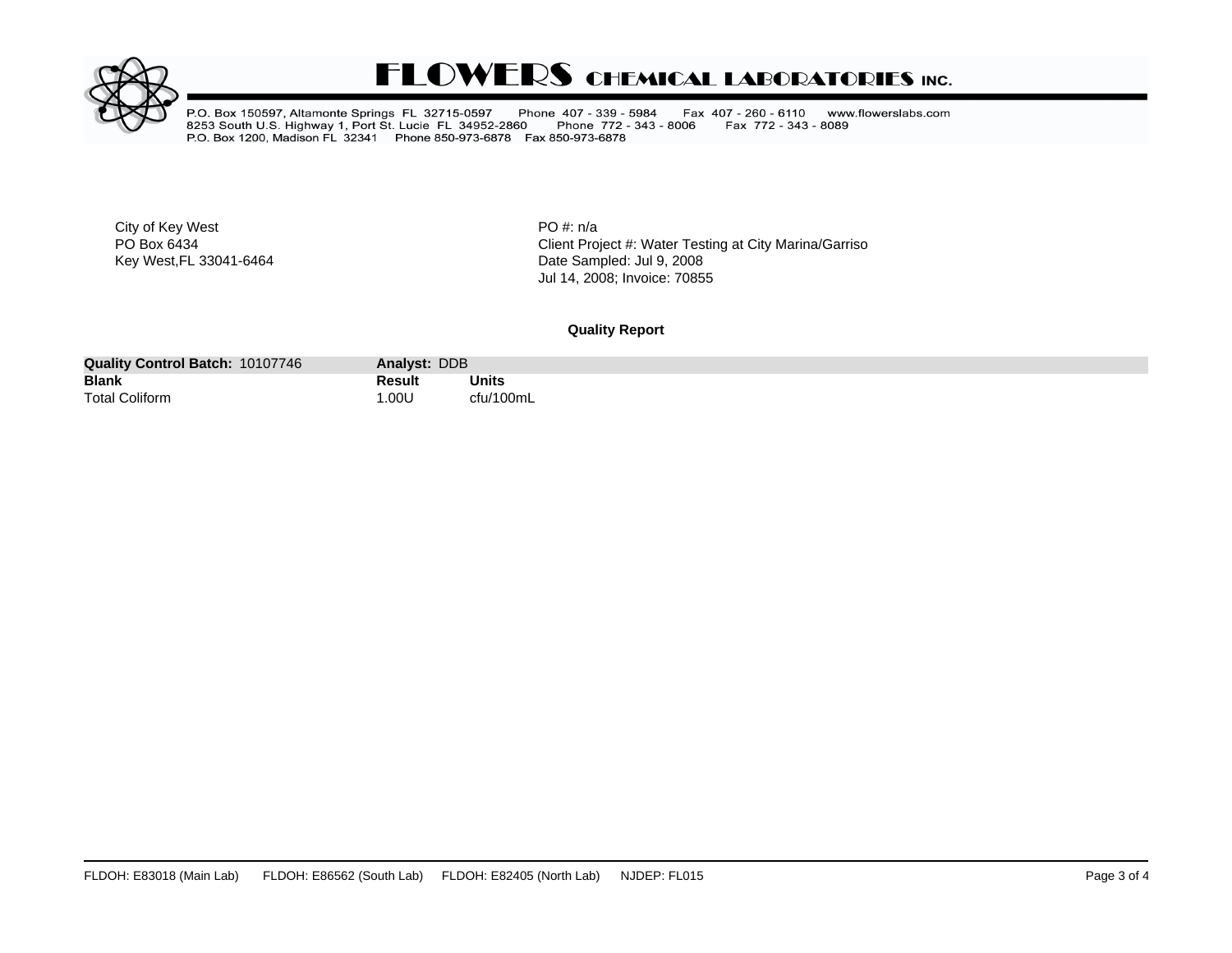

## **FLOWERS CHEMICAL LABORATORIES INC.**

P.O. Box 150597, Altamonte Springs FL 32715-0597 Phone 407 - 339 - 5984<br>8253 South U.S. Highway 1, Port St. Lucie FL 34952-2860 Phone 772 - 343<br>P.O. Box 1200, Madison FL 32341 Phone 850-973-6878 Fax 850-973-6878 Fax 407 - 260 - 6110 www.flowerslabs.com Fax 772 - 343 - 8089 Phone 772 - 343 - 8006

City of Key West **PO** #: n/a

PO Box 6434<br>
Rey West, FL 33041-6464 Client Project #: Water Testing at City Marina/Garrison Bightharmonic Client Project<br>
Date Sampled: Jul 9, 2008 Date Sampled: Jul 9, 2008 Jul 14, 2008; Invoice: 70855

#### **Quality Report**

| 10107746<br><b>Quality Control Batch:</b> | Analyst: DDB |           |
|-------------------------------------------|--------------|-----------|
| <b>Blank</b>                              | Result       | Units     |
|                                           |              | $ -$      |
| <b>Total Coliform</b>                     | .00U         | $'$ 100mL |
|                                           |              |           |